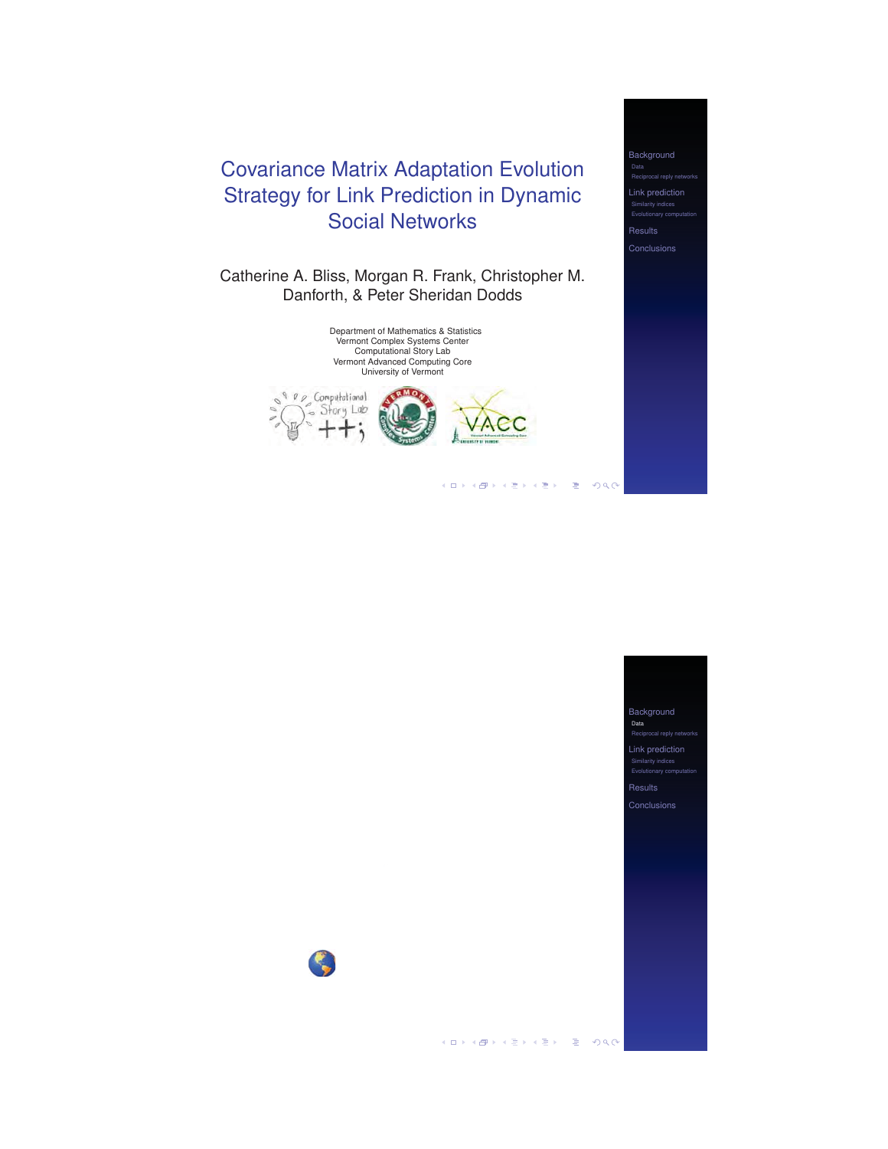#### Covariance Matrix Adaptation Evolution Strategy for Link Prediction in Dynamic Social Networks

Catherine A. Bliss, Morgan R. Frank, Christopher M. Danforth, & Peter Sheridan Dodds



Background Data Reciprocal reply networks Link prediction Evolutionary con Results **Conclusions** 

Background Data<br>Recir

Reciprocal reply networks Link prediction Similarity indices Evolutionary computation Results



**KID KID KE KE KE → E 1990** 

**K ロ K (御) K (君) K (君) / (君) 2000**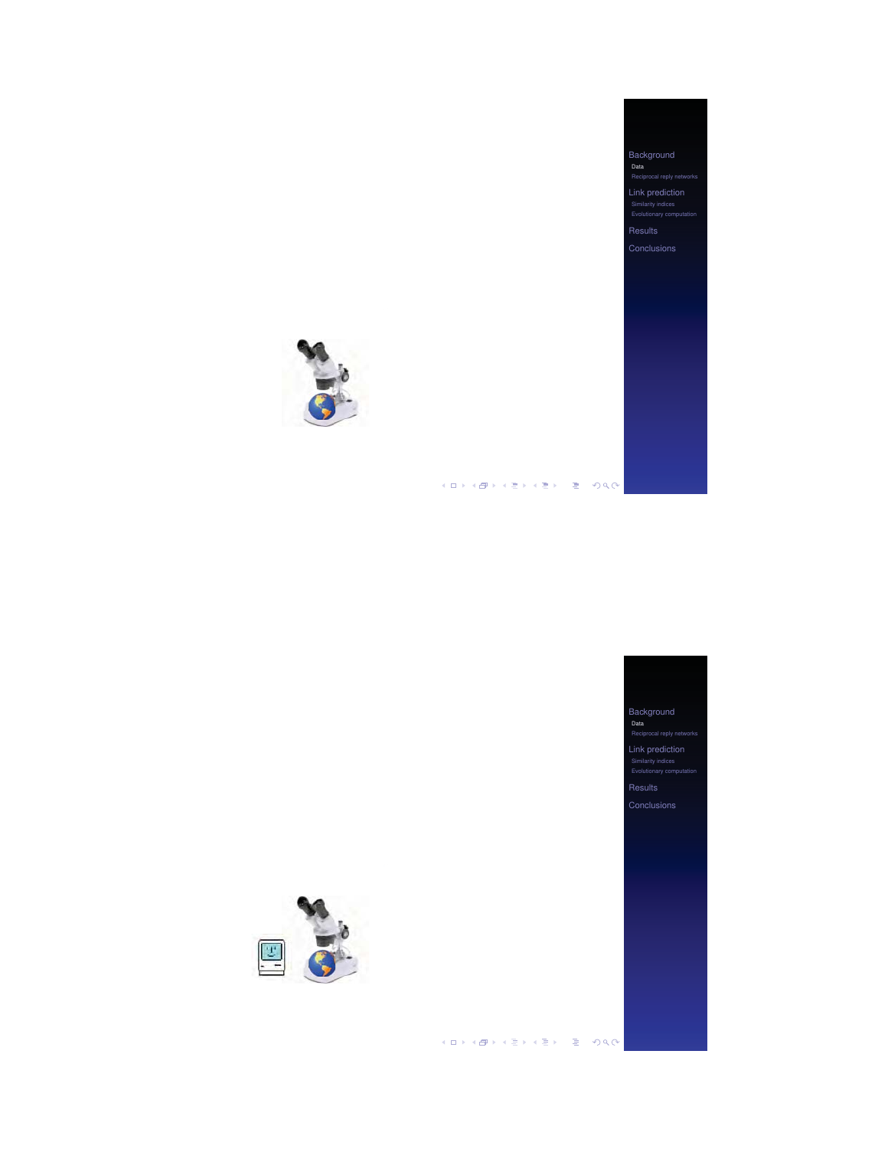Background Data Reciprocal reply networks Similarity indices Evolutionary computation



KOKKØKKEKKEK E DAG

 $\left[\frac{v}{v}\right]$ 

Background Data Reciprocal reply networks Similarity indices Evolutionary computation

KOKK@KKEKKEK E DAG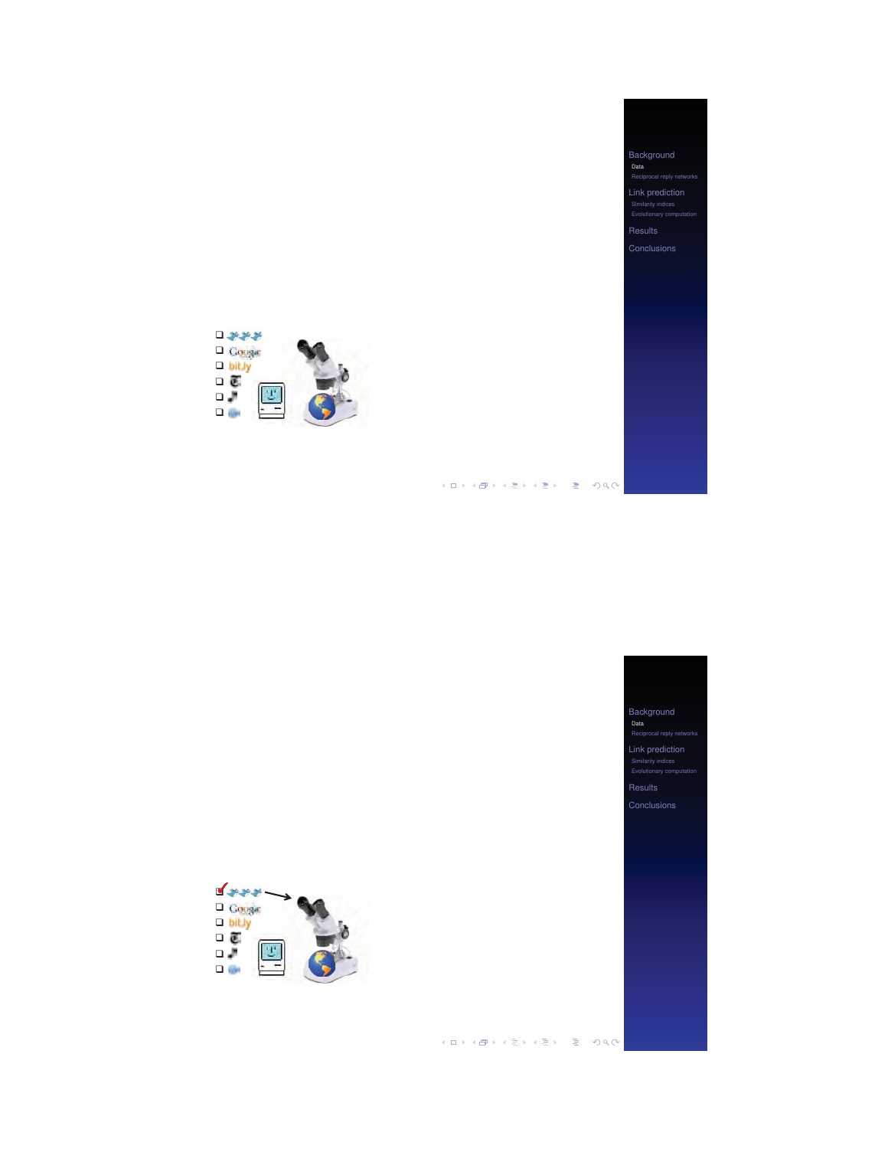Background Data Reciprocal reply networks Similarity indices Evolutionary computation



KOKKØKKEKKEK E DAG





KOKK@KKEKKEK E 1990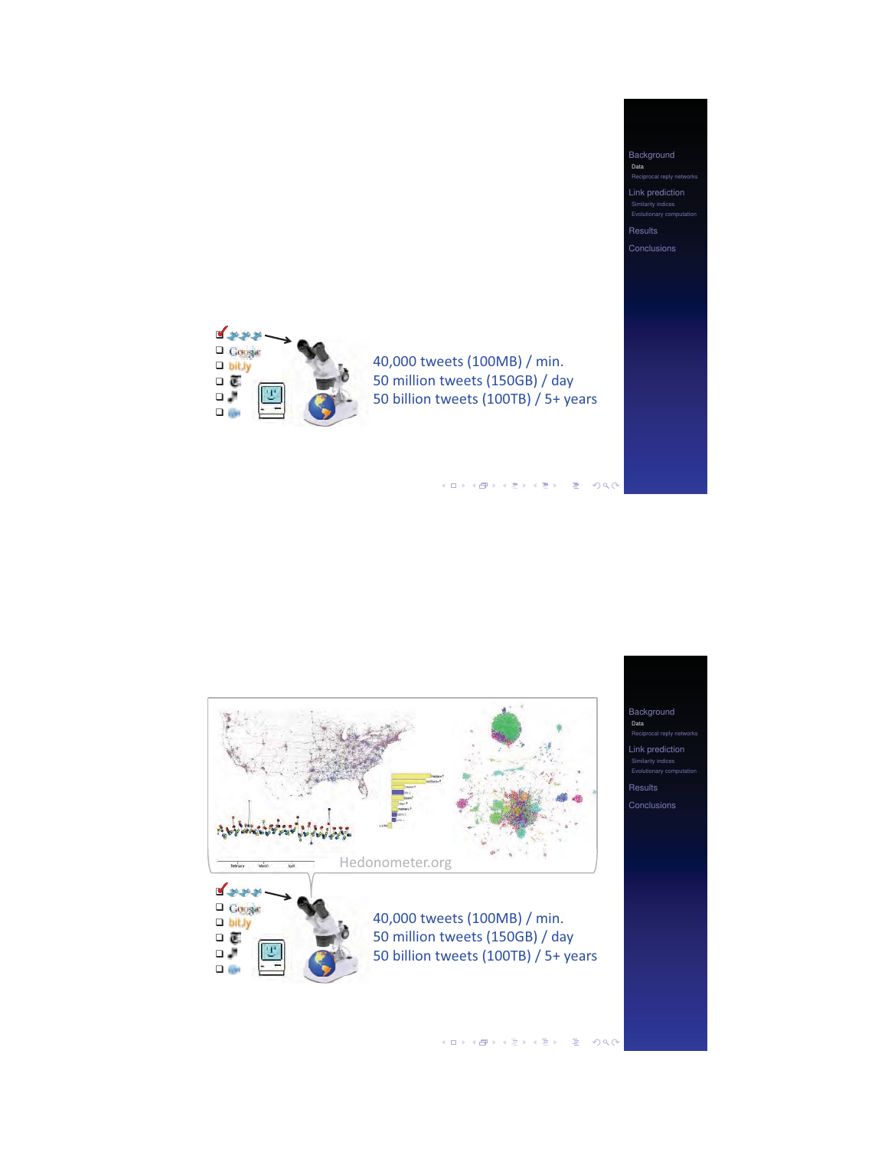



40,000 tweets (100MB) / min. 50 million tweets (150GB) / day 50 billion tweets (100TB) / 5+ years

## K ロ K (日) K (日) K (日) K (日) K (日) K (日) K (日) K (日) K (日) K (日) K (日) K (日)



Background Reciprocal reply networks Link prediction Evolutionary co Results **Conclusions** 

メロトメタトメミドメミド (ミ) の女々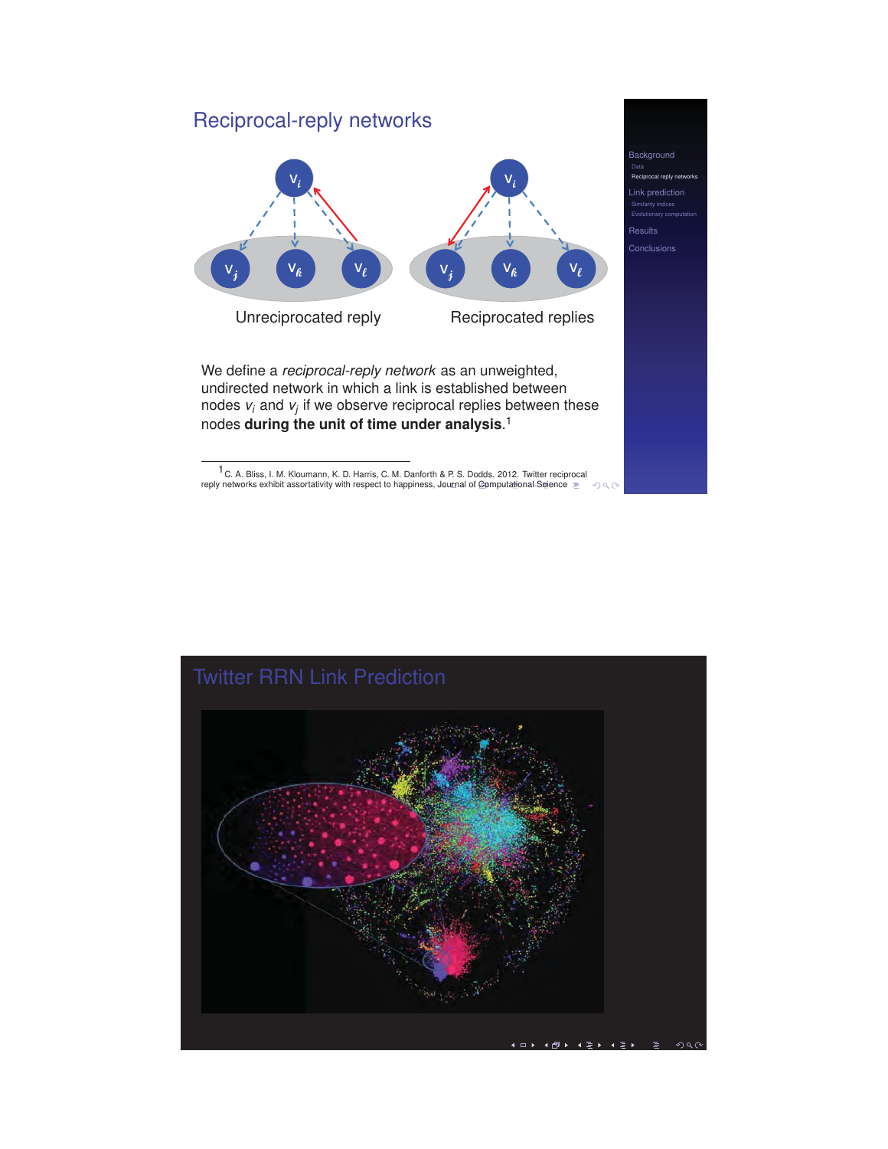

 $^1$ C. A. Bliss, I. M. Kloumann, K. D. Harris, C. M. Danforth & P. S. Dodds. 2012. Twitter reciprocal<br>reply networks exhibit assortativity with respect to happiness, Journal of Computational Science  $\ge$  $000$ 

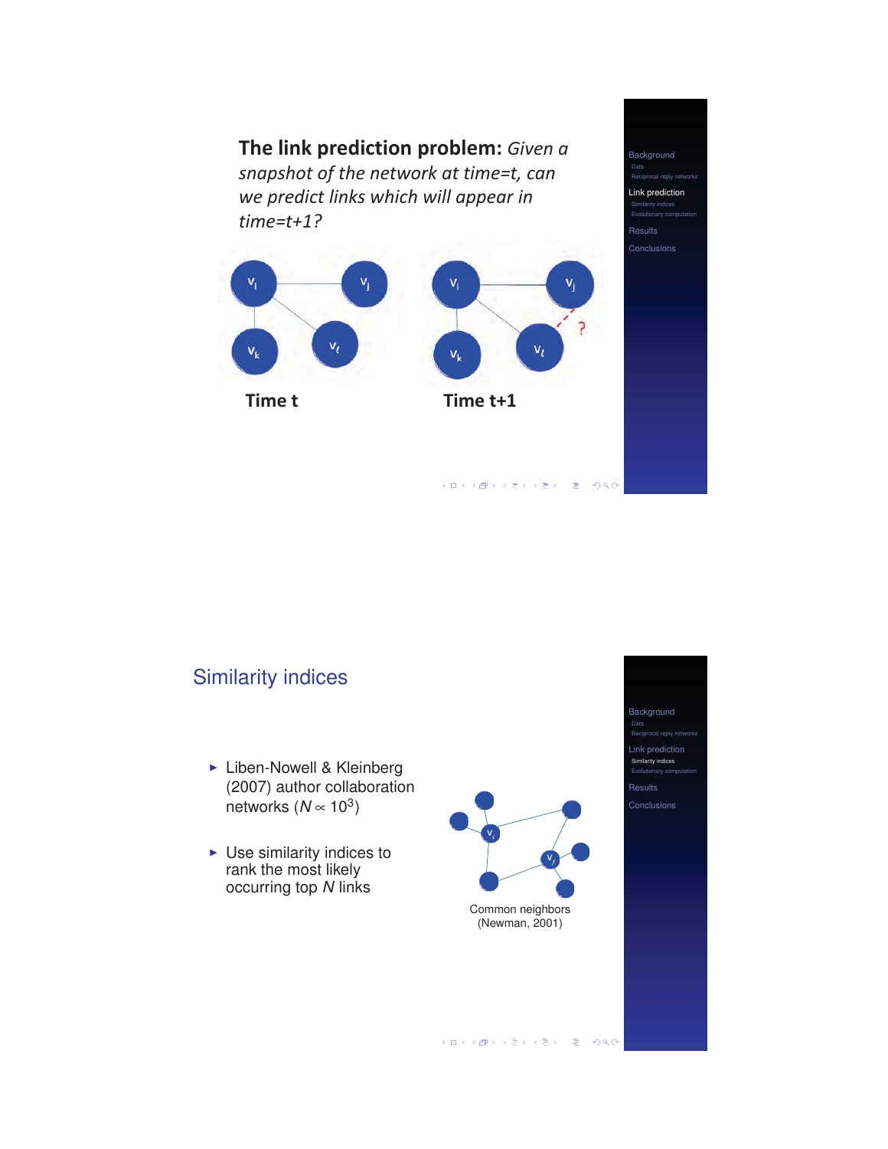

- **Liben-Nowell & Kleinberg** (2007) author collaboration networks ( $N \propto 10^3$ )
- Use similarity indices to rank the most likely occurring top *N* links



Background Reciprocal reply networks Link prediction Similarity indices Evolutionary computation Results **Conclusions**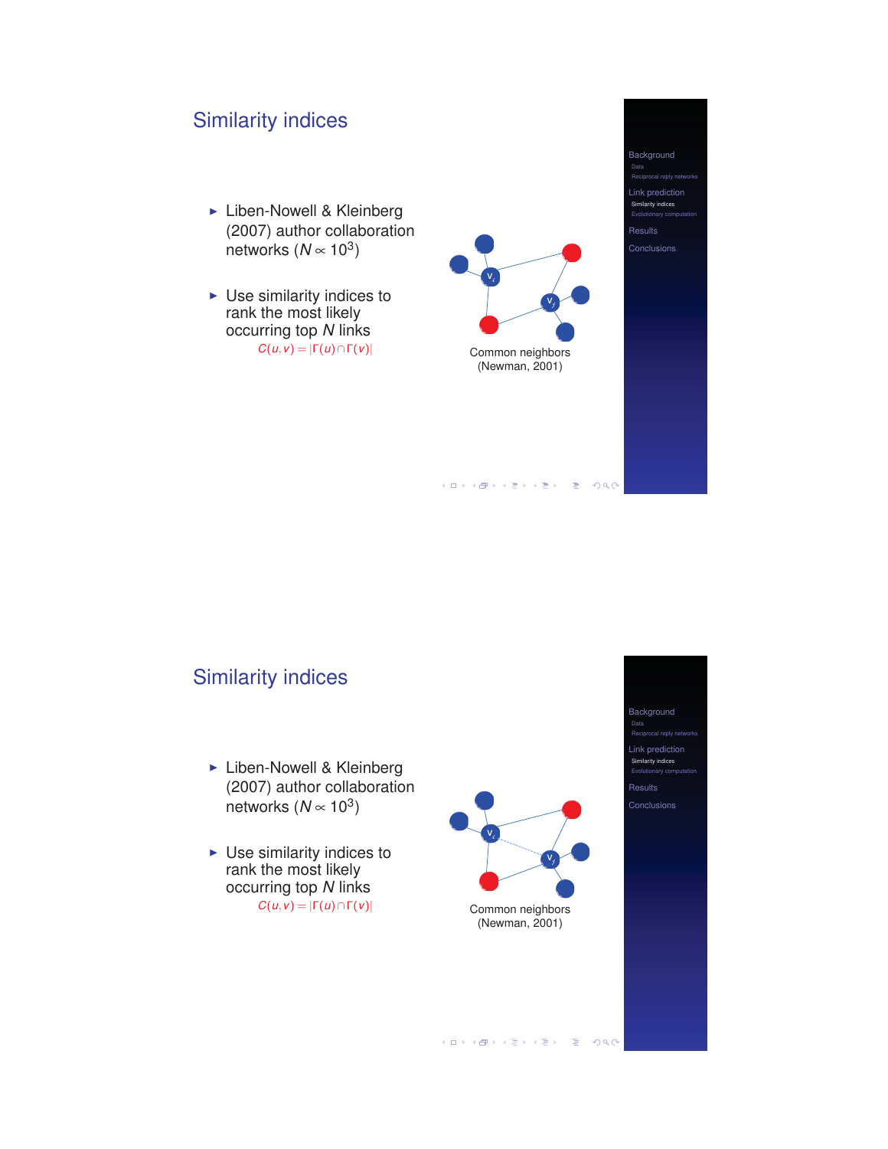- **Liben-Nowell & Kleinberg** (2007) author collaboration networks ( $N \propto 10^3$ )
- Use similarity indices to rank the most likely occurring top *N* links  $C(u, v) = |Γ(u) ∩ Γ(v)|$



KOKK@KKEKKEK E 1990

Background Data Reciprocal reply networks Link prediction Similarity indices Evoluti Results

# Similarity indices

- **Liben-Nowell & Kleinberg** (2007) author collaboration networks ( $N \propto 10^3$ )
- Use similarity indices to rank the most likely occurring top *N* links  $C(u, v) = |Γ(u) ∩ Γ(v)|$



Background Reciprocal reply networks Link prediction Similarity indices Evolutionary computation Results **Conclusions**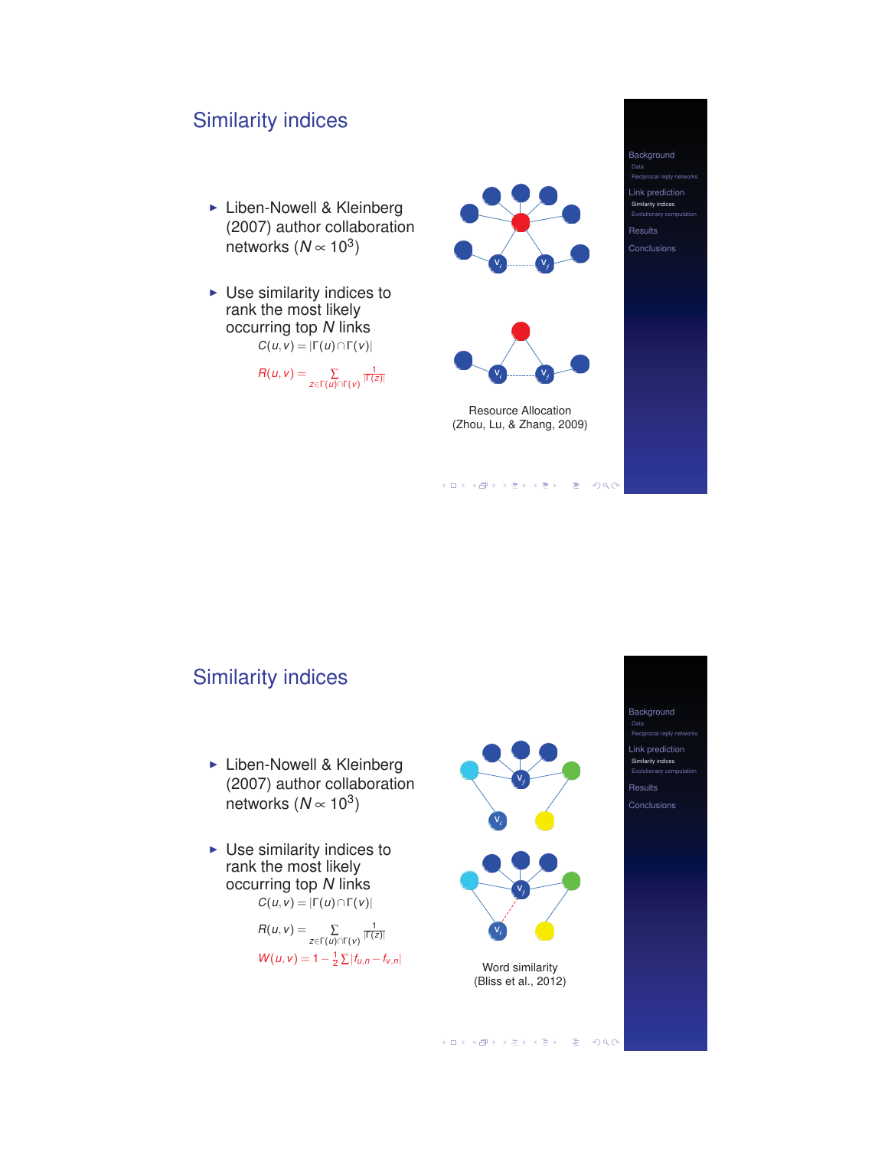- **Liben-Nowell & Kleinberg** (2007) author collaboration networks ( $N \propto 10^3$ )
- Use similarity indices to rank the most likely occurring top *N* links  $C(u, v) = |Γ(u) ∩ Γ(v)|$

$$
R(u,v)=\sum_{z\in\Gamma(u)\cap\Gamma(v)}\frac{1}{|\Gamma(z)|}
$$





Resource Allocation (Zhou, Lu, & Zhang, 2009)

KOKK@KKEKKEK E 1990

#### Similarity indices

- **Liben-Nowell & Kleinberg** (2007) author collaboration networks ( $N \propto 10^3$ )
- ► Use similarity indices to rank the most likely occurring top *N* links  $C(u, v) = |\Gamma(u) ∩ Γ(v)|$

$$
R(u, v) = \sum_{z \in \Gamma(u) \cap \Gamma(v)} \frac{1}{|\Gamma(z)|}
$$
  

$$
W(u, v) = 1 - \frac{1}{2} \sum |f_{u,n} - f_{v,n}|
$$



Background Reciprocal reply networks Link prediction Similarity indices Evolutionary computation Results **Conclusions** 

Background Reciprocal reply networks Link prediction Similarity indices Evolutionary computation Results

**KID KIN KE KE KE → E 1090**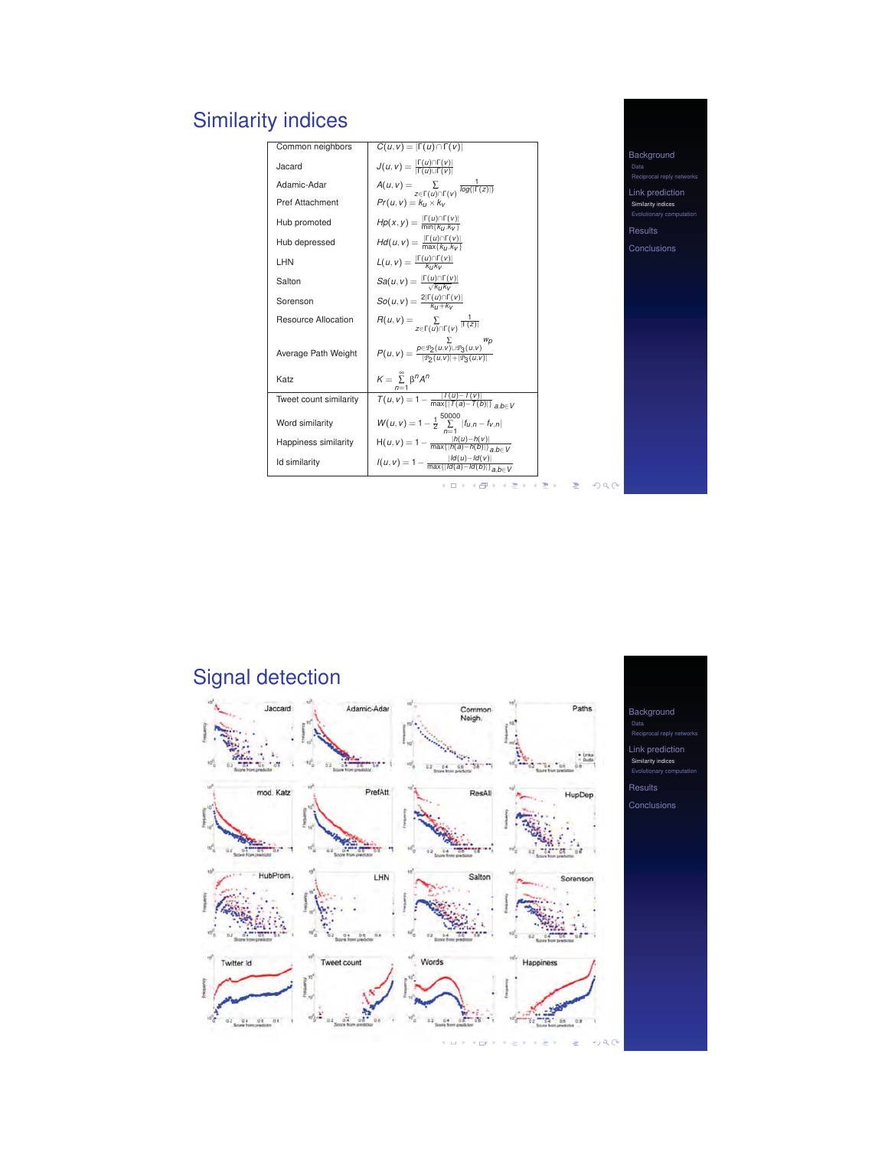| Common neighbors       | $C(u, v) =  \Gamma(u) \cap \Gamma(v) $                                                                                                                                                                                                                      |     | Background                                     |
|------------------------|-------------------------------------------------------------------------------------------------------------------------------------------------------------------------------------------------------------------------------------------------------------|-----|------------------------------------------------|
| Jacard                 | $J(u, v) = \frac{ \Gamma(u) \cap \Gamma(v) }{ \Gamma(u) \cup \Gamma(v) }$                                                                                                                                                                                   |     | Data<br>Reciprocal reply networks              |
| Adamic-Adar            | $A(u,v) = \sum_{z \in \Gamma(u) \cap \Gamma(v)} \frac{1}{log( \Gamma(z) )}$                                                                                                                                                                                 |     | Link prediction                                |
| Pref Attachment        | $Pr(u, v) = k_u \times k_v$                                                                                                                                                                                                                                 |     | Similarity indices<br>Evolutionary computation |
| Hub promoted           | $Hp(x, y) = \frac{ \Gamma(u) \cap \Gamma(v) }{\min\{k_u, k_v\}}$                                                                                                                                                                                            |     | Results                                        |
| Hub depressed          | $Hd(u, v) = \frac{ \Gamma(u) \cap \Gamma(v) }{\max\{k_U, k_V\}}$                                                                                                                                                                                            |     |                                                |
|                        |                                                                                                                                                                                                                                                             |     | Conclusions                                    |
| LHN                    | $L(u, v) = \frac{ \Gamma(u) \cap \Gamma(v) }{k u k v}$                                                                                                                                                                                                      |     |                                                |
| Salton                 | $Sa(u, v) = \frac{ \Gamma(u) \cap \Gamma(v) }{\sqrt{k u k v}}$                                                                                                                                                                                              |     |                                                |
| Sorenson               | $\mathcal{S}o(u,v)=\frac{2 \Gamma(u)\cap\Gamma(v) }{k_{u}+k_{v}}$                                                                                                                                                                                           |     |                                                |
| Resource Allocation    | $R(u,v) = \sum_{z \in \Gamma(u) \cap \Gamma(v)} \frac{1}{ \Gamma(z) }$                                                                                                                                                                                      |     |                                                |
| Average Path Weight    | $P(u, v) = \frac{\sum\limits_{p \in \mathcal{P}_2(u, v) \cup \mathcal{P}_3(u, v)} w_p}{\frac{\sum\limits_{p \in \{u, v\} \cup \mathcal{P}_3(u, v) \cup \mathcal{P}_4(u, v)}{\sum\limits_{p \in \{u, v\} \cup \mathcal{P}_2(u, v) \cup \mathcal{P}_4(u, v)}$ |     |                                                |
| Katz                   | $K = \sum_{n=1}^{\infty} \beta^n A^n$<br>$T(u, v) = 1 - \frac{ T(u) - T(v) }{\max\{ T(a) - T(b) \}}$ <sub>a,b∈</sub> v                                                                                                                                      |     |                                                |
| Tweet count similarity |                                                                                                                                                                                                                                                             |     |                                                |
| Word similarity        | $W(u, v) = 1 - \frac{1}{2} \sum_{n=1}^{50000}  f_{u,n} - f_{v,n} $                                                                                                                                                                                          |     |                                                |
| Happiness similarity   | $H(u, v) = 1 - \frac{ h(u) - h(v) }{\max\{ h(a) - h(b) \}_{a, b \in V}}$                                                                                                                                                                                    |     |                                                |
| Id similarity          | $I(u, v) = 1 - \frac{ d(u)-d(v) }{\max\{ d(a)-d(b) \}}$                                                                                                                                                                                                     |     |                                                |
|                        | イロト イ母 トイヨ トイヨ トーヨー                                                                                                                                                                                                                                         | つくい |                                                |

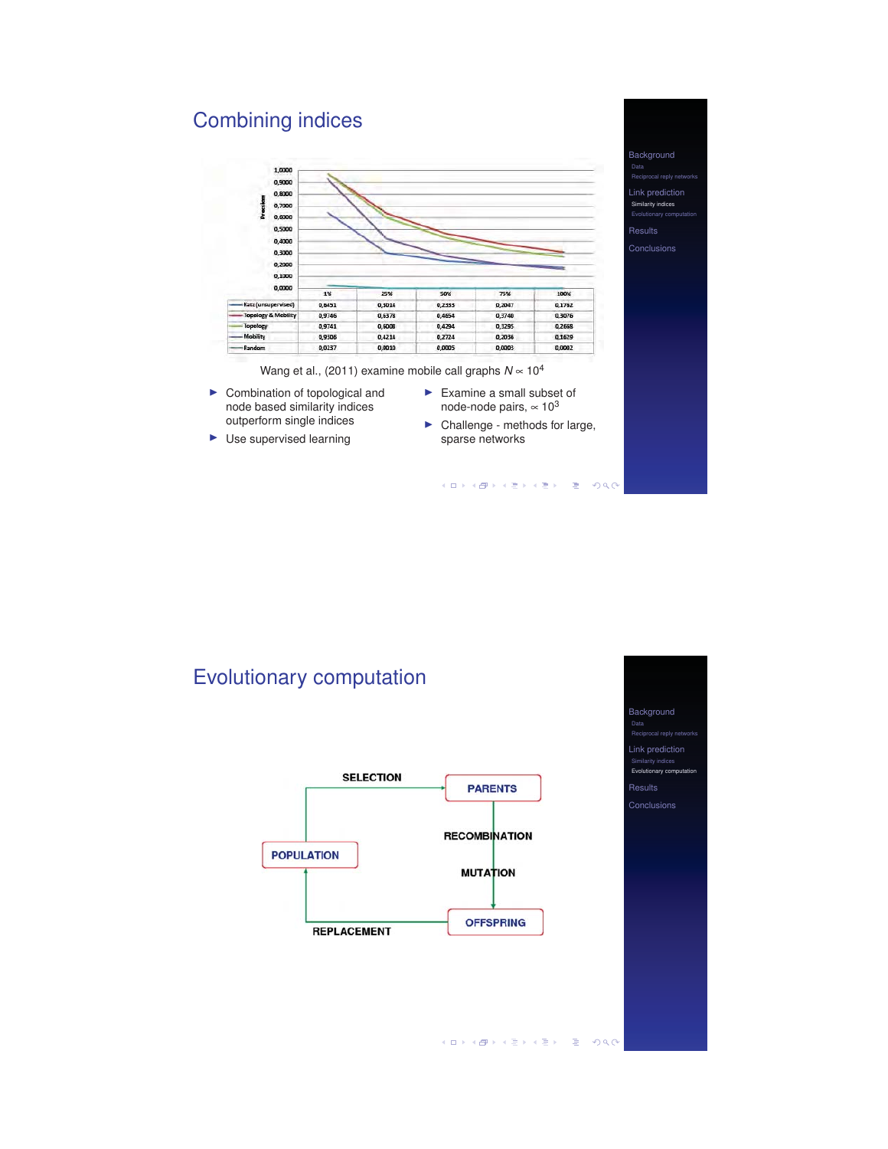





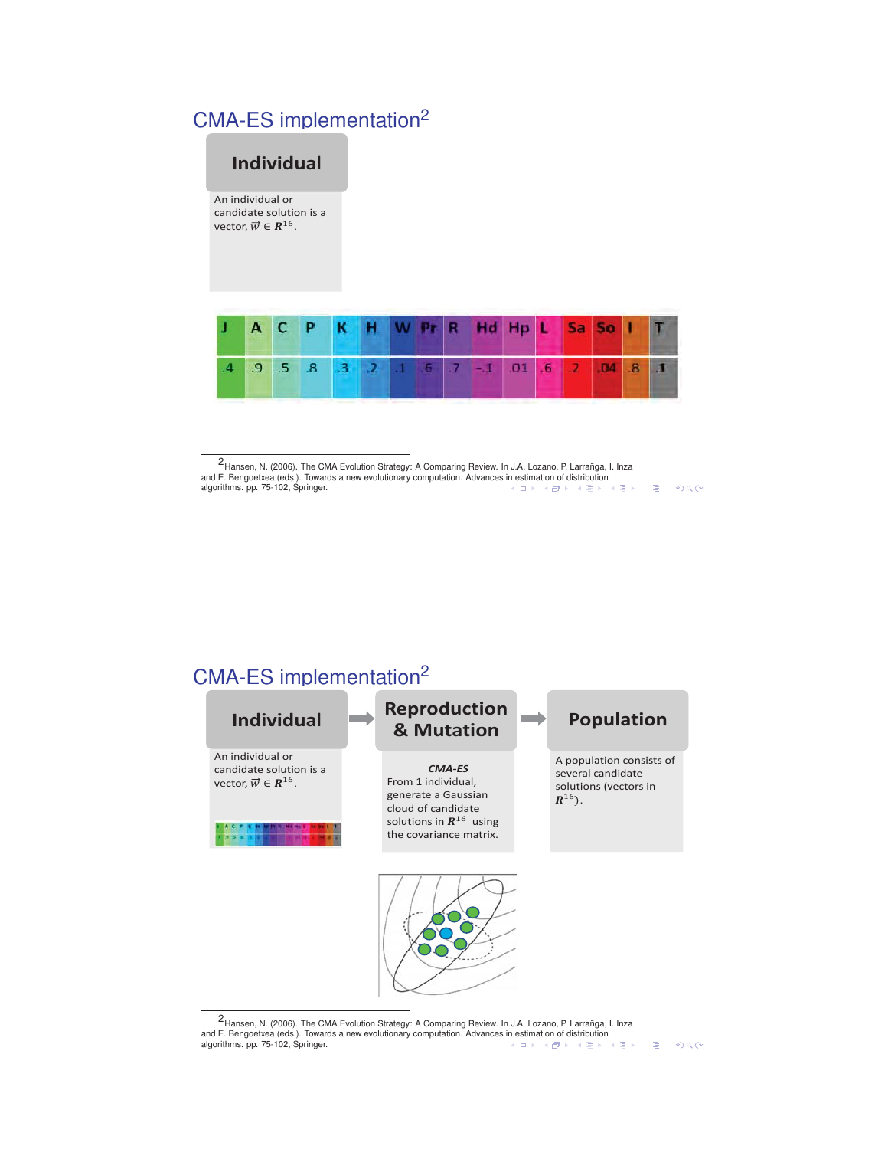#### CMA-ES implementation<sup>2</sup>

#### **Individua**l An individual or candidate solution is a vector,  $\vec{w} \in \mathbb{R}^{16}$ .  $\overline{A}$  $\mathsf{C}$ P K н R Hd Hp L Sa | So | w Dr п  $\mathbf{I}$  $\overline{a}$  $.9$ .5  $.8$  $\mathbf{3}$  $2$ 6 - 1  $.01$  $.6$  $\overline{2}$ 04  $\mathbf{8}$

2Hansen, N. (2006). The CMA Evolution Strategy: A Comparing Review. In J.A. Lozano, P. Larrañga, I. Inza and E. Bengoetxea (eds.). Towards a new evolutionary computation. Advances in estimation of distribution<br>algorithms. pp. 75-102, Springer.

#### CMA-ES implementation<sup>2</sup>



<sup>&</sup>lt;sup>2</sup> Hansen, N. (2006). The CMA Evolution Strategy: A Comparing Review. In J.A. Lozano, P. Larrañga, I. Inza<br>and E. Bengoetxea (eds.). Towards a new evolutionary computation. Advances in estimation of distribution<br>algorit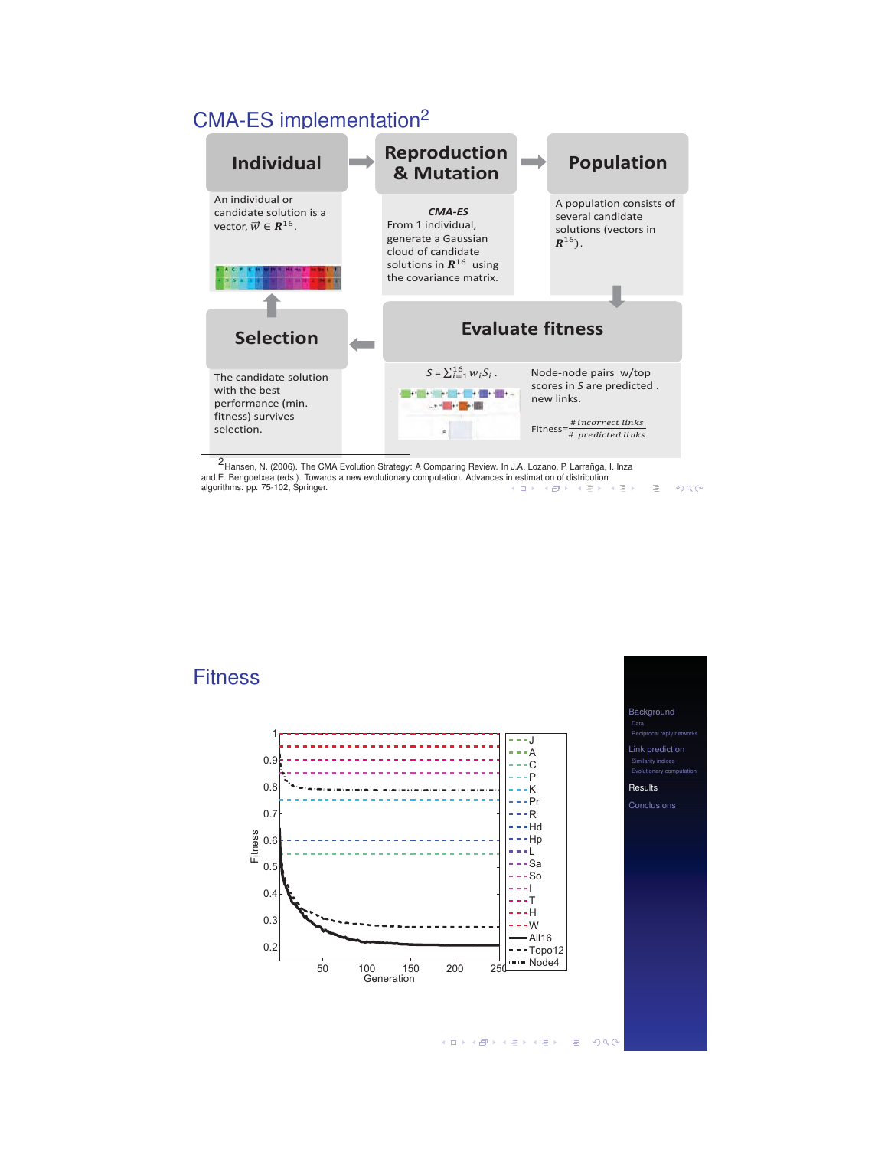### CMA-ES implementation<sup>2</sup>

| <b>Individual</b>                                                                      | <b>Reproduction</b><br>& Mutation                                                                               |  | <b>Population</b>                                                                     |  |
|----------------------------------------------------------------------------------------|-----------------------------------------------------------------------------------------------------------------|--|---------------------------------------------------------------------------------------|--|
| An individual or<br>candidate solution is a<br>vector, $\vec{w} \in \mathbb{R}^{16}$ . | <b>CMA-ES</b><br>From 1 individual,<br>generate a Gaussian<br>cloud of candidate<br>solutions in $R^{16}$ using |  | A population consists of<br>several candidate<br>solutions (vectors in<br>$R^{16}$ ). |  |
|                                                                                        | the covariance matrix.                                                                                          |  |                                                                                       |  |
| <b>Selection</b>                                                                       | <b>Evaluate fitness</b>                                                                                         |  |                                                                                       |  |
| The candidate solution<br>with the hest<br>performance (min.<br>fitness) survives      | $S = \sum_{i=1}^{16} w_i S_i$ .                                                                                 |  | Node-node pairs w/top<br>scores in S are predicted.<br>new links.                     |  |
| selection.                                                                             |                                                                                                                 |  | # incorrect links<br>Fitness=<br># predicted links                                    |  |

<sup>2</sup> Hansen, N. (2006). The CMA Evolution Strategy: A Comparing Review. In J.A. Lozano, P. Larrañga, I. Inza<br>and E. Bengoetxea (eds.). Towards a new evolutionary computation. Advances in estimation of distribution<br>algorit

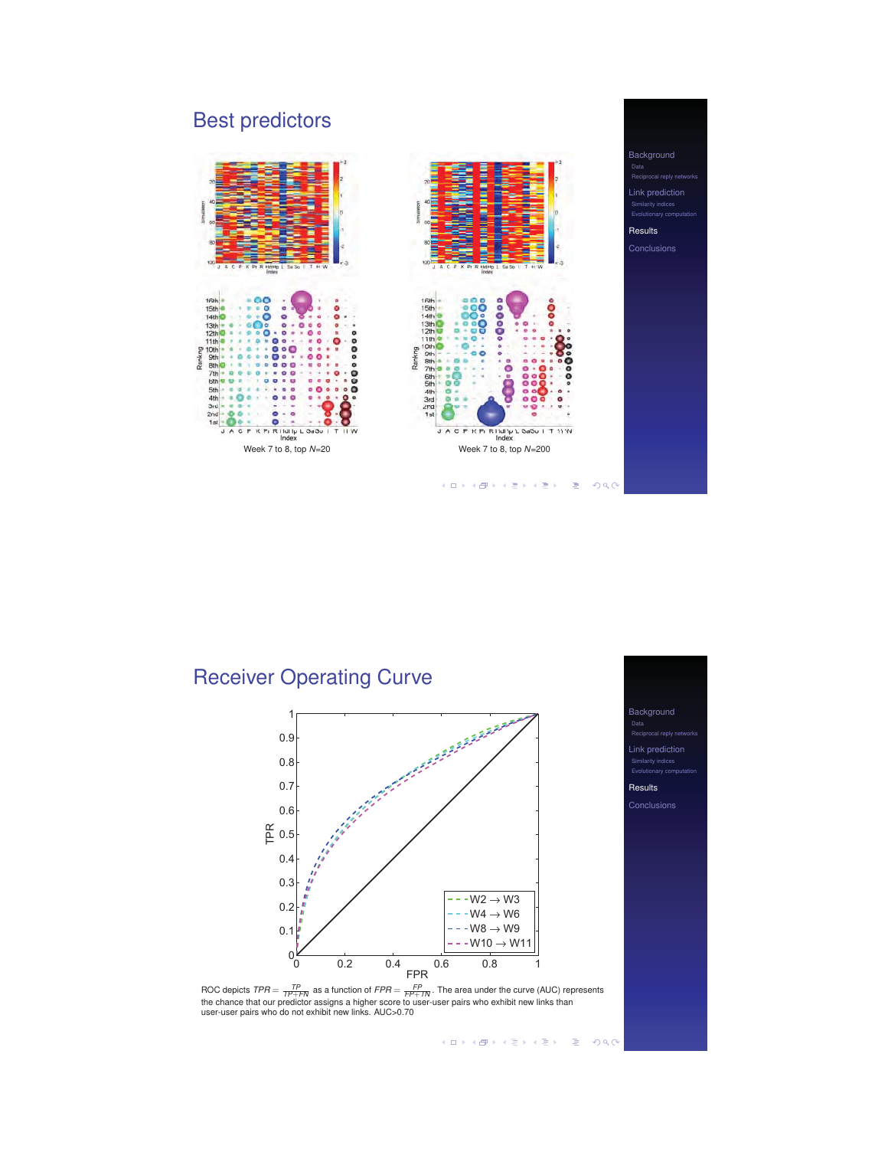



#### Receiver Operating Curve







**KO ▶ K@ ▶ K ミ K K ミ K \_ E \_ K Q Q Q Q**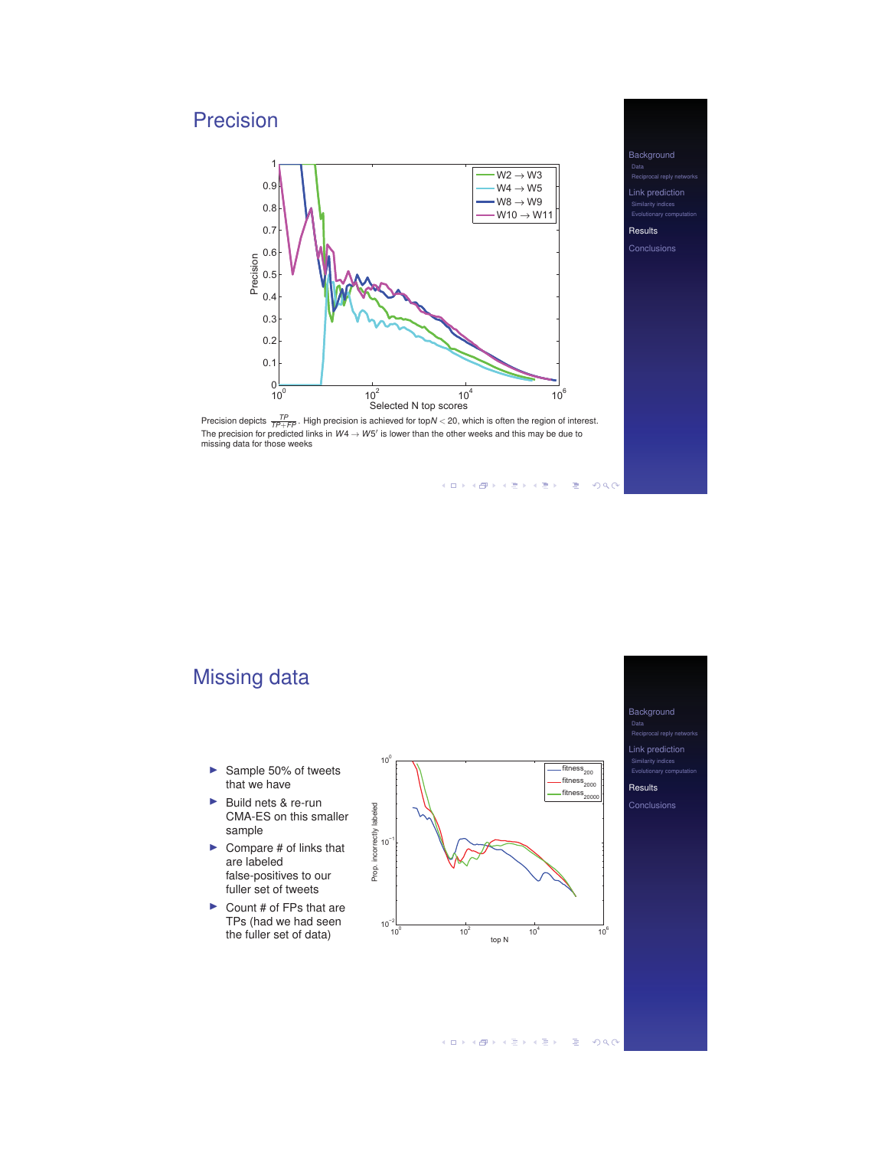#### Precision



Reciprocal reply networks

Similarity indices Evolutionary computation

Precision depicts *TP TP*+*FP* . High precision is achieved for top*<sup>N</sup>* <sup>&</sup>lt; 20, which is often the region of interest. The precision for predicted links in  $W4\to W5'$  is lower than the other weeks and this may be due to missing data for those weeks



KOKK@KKEKKEK E 1990